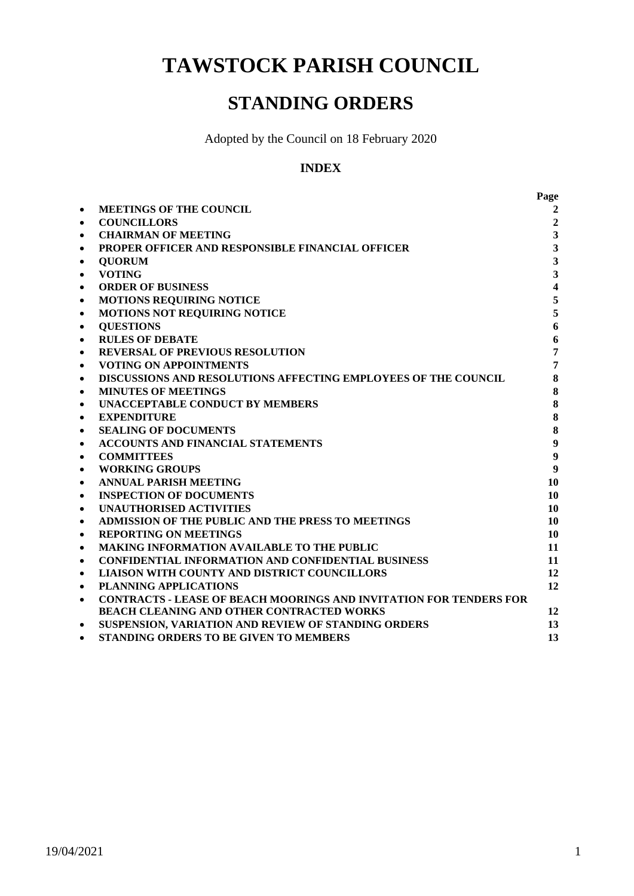**TAWSTOCK PARISH COUNCIL**

# **STANDING ORDERS**

Adopted by the Council on 18 February 2020

## **INDEX**

|           |                                                                           | Page                    |
|-----------|---------------------------------------------------------------------------|-------------------------|
| $\bullet$ | <b>MEETINGS OF THE COUNCIL</b>                                            | 2                       |
| $\bullet$ | <b>COUNCILLORS</b>                                                        | $\overline{2}$          |
| $\bullet$ | <b>CHAIRMAN OF MEETING</b>                                                | $\overline{\mathbf{3}}$ |
| $\bullet$ | PROPER OFFICER AND RESPONSIBLE FINANCIAL OFFICER                          | $\overline{\mathbf{3}}$ |
| $\bullet$ | <b>QUORUM</b>                                                             | $\overline{\mathbf{3}}$ |
| $\bullet$ | <b>VOTING</b>                                                             | $\overline{\mathbf{3}}$ |
| $\bullet$ | <b>ORDER OF BUSINESS</b>                                                  | $\overline{\mathbf{4}}$ |
| $\bullet$ | MOTIONS REQUIRING NOTICE                                                  | 5                       |
| $\bullet$ | <b>MOTIONS NOT REQUIRING NOTICE</b>                                       | 5                       |
| $\bullet$ | <b>QUESTIONS</b>                                                          | 6                       |
| $\bullet$ | <b>RULES OF DEBATE</b>                                                    | $\boldsymbol{6}$        |
| $\bullet$ | <b>REVERSAL OF PREVIOUS RESOLUTION</b>                                    | $\overline{7}$          |
| $\bullet$ | <b>VOTING ON APPOINTMENTS</b>                                             | $\overline{7}$          |
| $\bullet$ | DISCUSSIONS AND RESOLUTIONS AFFECTING EMPLOYEES OF THE COUNCIL            | 8                       |
| $\bullet$ | <b>MINUTES OF MEETINGS</b>                                                | 8                       |
| $\bullet$ | <b>UNACCEPTABLE CONDUCT BY MEMBERS</b>                                    | 8                       |
| $\bullet$ | <b>EXPENDITURE</b>                                                        | 8                       |
| $\bullet$ | <b>SEALING OF DOCUMENTS</b>                                               | 8                       |
| $\bullet$ | <b>ACCOUNTS AND FINANCIAL STATEMENTS</b>                                  | $\boldsymbol{9}$        |
| $\bullet$ | <b>COMMITTEES</b>                                                         | $\boldsymbol{9}$        |
| $\bullet$ | <b>WORKING GROUPS</b>                                                     | $\boldsymbol{9}$        |
| $\bullet$ | <b>ANNUAL PARISH MEETING</b>                                              | 10                      |
| $\bullet$ | <b>INSPECTION OF DOCUMENTS</b>                                            | 10                      |
| $\bullet$ | <b>UNAUTHORISED ACTIVITIES</b>                                            | 10                      |
| $\bullet$ | ADMISSION OF THE PUBLIC AND THE PRESS TO MEETINGS                         | 10                      |
| $\bullet$ | <b>REPORTING ON MEETINGS</b>                                              | 10                      |
| $\bullet$ | <b>MAKING INFORMATION AVAILABLE TO THE PUBLIC</b>                         | 11                      |
| $\bullet$ | <b>CONFIDENTIAL INFORMATION AND CONFIDENTIAL BUSINESS</b>                 | 11                      |
| $\bullet$ | LIAISON WITH COUNTY AND DISTRICT COUNCILLORS                              | 12                      |
| $\bullet$ | <b>PLANNING APPLICATIONS</b>                                              | 12                      |
| $\bullet$ | <b>CONTRACTS - LEASE OF BEACH MOORINGS AND INVITATION FOR TENDERS FOR</b> |                         |
|           | <b>BEACH CLEANING AND OTHER CONTRACTED WORKS</b>                          | 12                      |
| $\bullet$ | SUSPENSION, VARIATION AND REVIEW OF STANDING ORDERS                       | 13                      |
|           | <b>STANDING ORDERS TO BE GIVEN TO MEMBERS</b>                             | 13                      |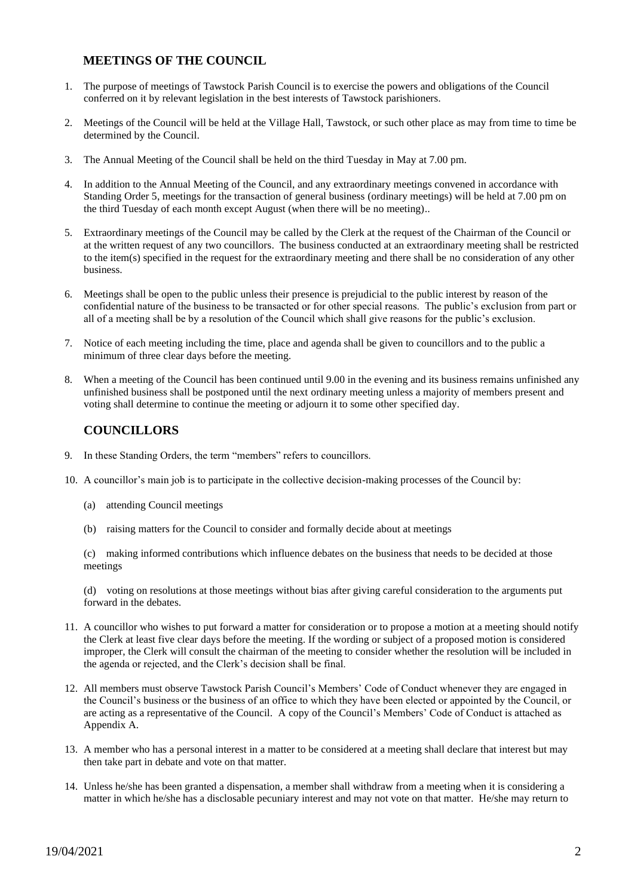## **MEETINGS OF THE COUNCIL**

- 1. The purpose of meetings of Tawstock Parish Council is to exercise the powers and obligations of the Council conferred on it by relevant legislation in the best interests of Tawstock parishioners.
- 2. Meetings of the Council will be held at the Village Hall, Tawstock, or such other place as may from time to time be determined by the Council.
- 3. The Annual Meeting of the Council shall be held on the third Tuesday in May at 7.00 pm.
- 4. In addition to the Annual Meeting of the Council, and any extraordinary meetings convened in accordance with Standing Order 5, meetings for the transaction of general business (ordinary meetings) will be held at 7.00 pm on the third Tuesday of each month except August (when there will be no meeting)..
- 5. Extraordinary meetings of the Council may be called by the Clerk at the request of the Chairman of the Council or at the written request of any two councillors. The business conducted at an extraordinary meeting shall be restricted to the item(s) specified in the request for the extraordinary meeting and there shall be no consideration of any other business.
- 6. Meetings shall be open to the public unless their presence is prejudicial to the public interest by reason of the confidential nature of the business to be transacted or for other special reasons. The public's exclusion from part or all of a meeting shall be by a resolution of the Council which shall give reasons for the public's exclusion.
- 7. Notice of each meeting including the time, place and agenda shall be given to councillors and to the public a minimum of three clear days before the meeting.
- 8. When a meeting of the Council has been continued until 9.00 in the evening and its business remains unfinished any unfinished business shall be postponed until the next ordinary meeting unless a majority of members present and voting shall determine to continue the meeting or adjourn it to some other specified day.

# **COUNCILLORS**

- 9. In these Standing Orders, the term "members" refers to councillors.
- 10. A councillor's main job is to participate in the collective decision-making processes of the Council by:
	- (a) attending Council meetings
	- (b) raising matters for the Council to consider and formally decide about at meetings

(c) making informed contributions which influence debates on the business that needs to be decided at those meetings

(d) voting on resolutions at those meetings without bias after giving careful consideration to the arguments put forward in the debates.

- 11. A councillor who wishes to put forward a matter for consideration or to propose a motion at a meeting should notify the Clerk at least five clear days before the meeting. If the wording or subject of a proposed motion is considered improper, the Clerk will consult the chairman of the meeting to consider whether the resolution will be included in the agenda or rejected, and the Clerk's decision shall be final.
- 12. All members must observe Tawstock Parish Council's Members' Code of Conduct whenever they are engaged in the Council's business or the business of an office to which they have been elected or appointed by the Council, or are acting as a representative of the Council. A copy of the Council's Members' Code of Conduct is attached as Appendix A.
- 13. A member who has a personal interest in a matter to be considered at a meeting shall declare that interest but may then take part in debate and vote on that matter.
- 14. Unless he/she has been granted a dispensation, a member shall withdraw from a meeting when it is considering a matter in which he/she has a disclosable pecuniary interest and may not vote on that matter. He/she may return to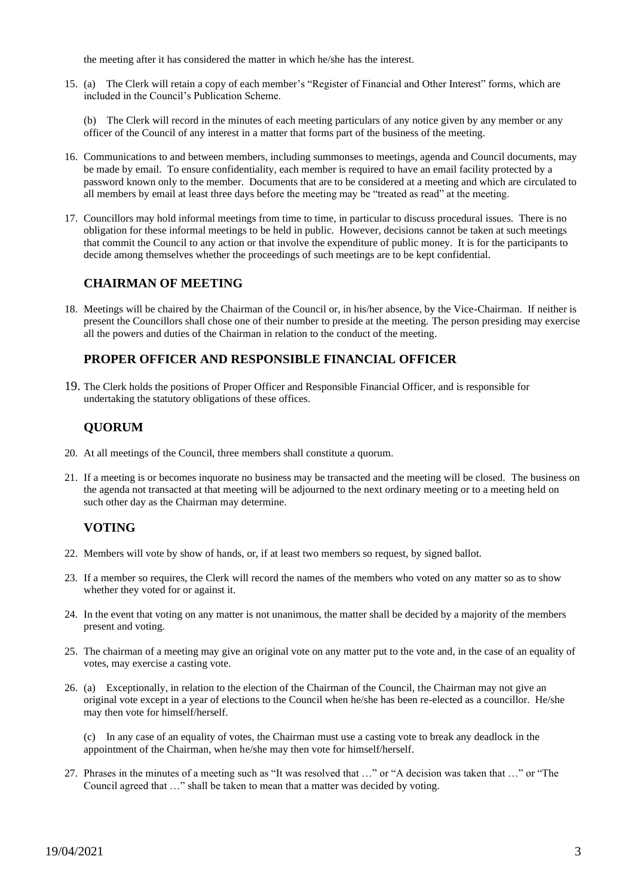the meeting after it has considered the matter in which he/she has the interest.

15. (a) The Clerk will retain a copy of each member's "Register of Financial and Other Interest" forms, which are included in the Council's Publication Scheme.

(b) The Clerk will record in the minutes of each meeting particulars of any notice given by any member or any officer of the Council of any interest in a matter that forms part of the business of the meeting.

- 16. Communications to and between members, including summonses to meetings, agenda and Council documents, may be made by email. To ensure confidentiality, each member is required to have an email facility protected by a password known only to the member. Documents that are to be considered at a meeting and which are circulated to all members by email at least three days before the meeting may be "treated as read" at the meeting.
- 17. Councillors may hold informal meetings from time to time, in particular to discuss procedural issues. There is no obligation for these informal meetings to be held in public. However, decisions cannot be taken at such meetings that commit the Council to any action or that involve the expenditure of public money. It is for the participants to decide among themselves whether the proceedings of such meetings are to be kept confidential.

#### **CHAIRMAN OF MEETING**

18. Meetings will be chaired by the Chairman of the Council or, in his/her absence, by the Vice-Chairman. If neither is present the Councillors shall chose one of their number to preside at the meeting. The person presiding may exercise all the powers and duties of the Chairman in relation to the conduct of the meeting.

#### **PROPER OFFICER AND RESPONSIBLE FINANCIAL OFFICER**

19. The Clerk holds the positions of Proper Officer and Responsible Financial Officer, and is responsible for undertaking the statutory obligations of these offices.

## **QUORUM**

- 20. At all meetings of the Council, three members shall constitute a quorum.
- 21. If a meeting is or becomes inquorate no business may be transacted and the meeting will be closed. The business on the agenda not transacted at that meeting will be adjourned to the next ordinary meeting or to a meeting held on such other day as the Chairman may determine.

#### **VOTING**

- 22. Members will vote by show of hands, or, if at least two members so request, by signed ballot.
- 23. If a member so requires, the Clerk will record the names of the members who voted on any matter so as to show whether they voted for or against it.
- 24. In the event that voting on any matter is not unanimous, the matter shall be decided by a majority of the members present and voting.
- 25. The chairman of a meeting may give an original vote on any matter put to the vote and, in the case of an equality of votes, may exercise a casting vote.
- 26. (a) Exceptionally, in relation to the election of the Chairman of the Council, the Chairman may not give an original vote except in a year of elections to the Council when he/she has been re-elected as a councillor. He/she may then vote for himself/herself.
	- (c) In any case of an equality of votes, the Chairman must use a casting vote to break any deadlock in the appointment of the Chairman, when he/she may then vote for himself/herself.
- 27. Phrases in the minutes of a meeting such as "It was resolved that …" or "A decision was taken that …" or "The Council agreed that …" shall be taken to mean that a matter was decided by voting.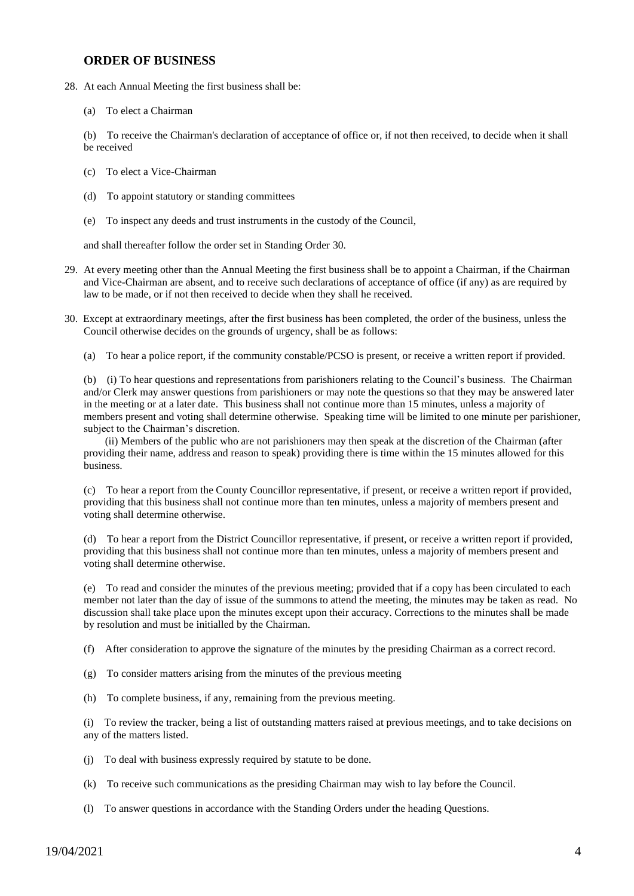#### **ORDER OF BUSINESS**

- 28. At each Annual Meeting the first business shall be:
	- (a) To elect a Chairman

(b) To receive the Chairman's declaration of acceptance of office or, if not then received, to decide when it shall be received

- (c) To elect a Vice-Chairman
- (d) To appoint statutory or standing committees
- (e) To inspect any deeds and trust instruments in the custody of the Council,

and shall thereafter follow the order set in Standing Order 30.

- 29. At every meeting other than the Annual Meeting the first business shall be to appoint a Chairman, if the Chairman and Vice-Chairman are absent, and to receive such declarations of acceptance of office (if any) as are required by law to be made, or if not then received to decide when they shall he received.
- 30. Except at extraordinary meetings, after the first business has been completed, the order of the business, unless the Council otherwise decides on the grounds of urgency, shall be as follows:
	- (a) To hear a police report, if the community constable/PCSO is present, or receive a written report if provided.

(b) (i) To hear questions and representations from parishioners relating to the Council's business. The Chairman and/or Clerk may answer questions from parishioners or may note the questions so that they may be answered later in the meeting or at a later date. This business shall not continue more than 15 minutes, unless a majority of members present and voting shall determine otherwise. Speaking time will be limited to one minute per parishioner, subject to the Chairman's discretion.

 (ii) Members of the public who are not parishioners may then speak at the discretion of the Chairman (after providing their name, address and reason to speak) providing there is time within the 15 minutes allowed for this business.

(c) To hear a report from the County Councillor representative, if present, or receive a written report if provided, providing that this business shall not continue more than ten minutes, unless a majority of members present and voting shall determine otherwise.

(d) To hear a report from the District Councillor representative, if present, or receive a written report if provided, providing that this business shall not continue more than ten minutes, unless a majority of members present and voting shall determine otherwise.

(e) To read and consider the minutes of the previous meeting; provided that if a copy has been circulated to each member not later than the day of issue of the summons to attend the meeting, the minutes may be taken as read. No discussion shall take place upon the minutes except upon their accuracy. Corrections to the minutes shall be made by resolution and must be initialled by the Chairman.

(f) After consideration to approve the signature of the minutes by the presiding Chairman as a correct record.

- (g) To consider matters arising from the minutes of the previous meeting
- (h) To complete business, if any, remaining from the previous meeting.

(i) To review the tracker, being a list of outstanding matters raised at previous meetings, and to take decisions on any of the matters listed.

- (j) To deal with business expressly required by statute to be done.
- (k) To receive such communications as the presiding Chairman may wish to lay before the Council.
- (l) To answer questions in accordance with the Standing Orders under the heading Questions.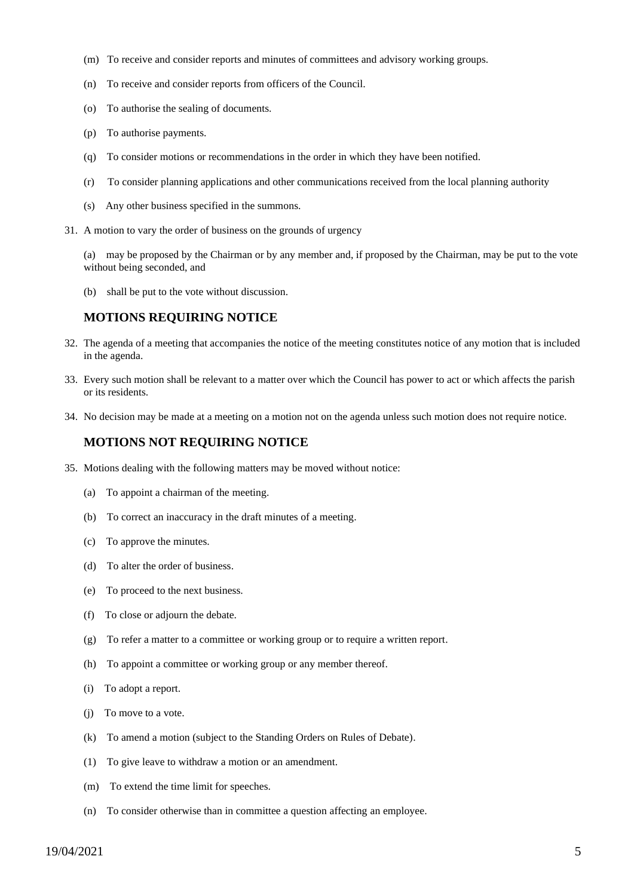- (m) To receive and consider reports and minutes of committees and advisory working groups.
- (n) To receive and consider reports from officers of the Council.
- (o) To authorise the sealing of documents.
- (p) To authorise payments.
- (q) To consider motions or recommendations in the order in which they have been notified.
- (r) To consider planning applications and other communications received from the local planning authority
- (s) Any other business specified in the summons.
- 31. A motion to vary the order of business on the grounds of urgency

(a) may be proposed by the Chairman or by any member and, if proposed by the Chairman, may be put to the vote without being seconded, and

(b) shall be put to the vote without discussion.

#### **MOTIONS REQUIRING NOTICE**

- 32. The agenda of a meeting that accompanies the notice of the meeting constitutes notice of any motion that is included in the agenda.
- 33. Every such motion shall be relevant to a matter over which the Council has power to act or which affects the parish or its residents.
- 34. No decision may be made at a meeting on a motion not on the agenda unless such motion does not require notice.

#### **MOTIONS NOT REQUIRING NOTICE**

- 35. Motions dealing with the following matters may be moved without notice:
	- (a) To appoint a chairman of the meeting.
	- (b) To correct an inaccuracy in the draft minutes of a meeting.
	- (c) To approve the minutes.
	- (d) To alter the order of business.
	- (e) To proceed to the next business.
	- (f) To close or adjourn the debate.
	- (g) To refer a matter to a committee or working group or to require a written report.
	- (h) To appoint a committee or working group or any member thereof.
	- (i) To adopt a report.
	- (j) To move to a vote.
	- (k) To amend a motion (subject to the Standing Orders on Rules of Debate).
	- (1) To give leave to withdraw a motion or an amendment.
	- (m) To extend the time limit for speeches.
	- (n) To consider otherwise than in committee a question affecting an employee.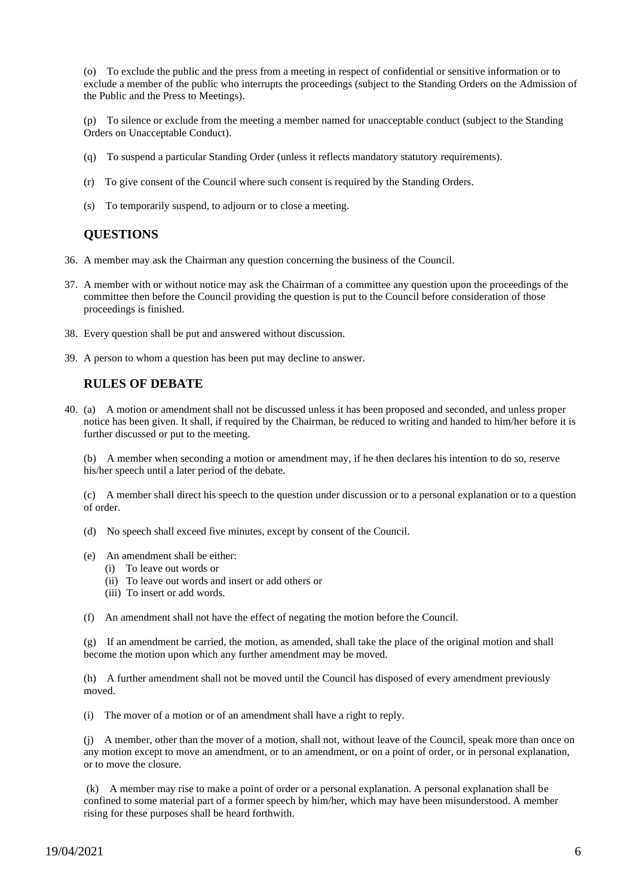(o) To exclude the public and the press from a meeting in respect of confidential or sensitive information or to exclude a member of the public who interrupts the proceedings (subject to the Standing Orders on the Admission of the Public and the Press to Meetings).

(p) To silence or exclude from the meeting a member named for unacceptable conduct (subject to the Standing Orders on Unacceptable Conduct).

- (q) To suspend a particular Standing Order (unless it reflects mandatory statutory requirements).
- (r) To give consent of the Council where such consent is required by the Standing Orders.
- (s) To temporarily suspend, to adjourn or to close a meeting.

#### **QUESTIONS**

- 36. A member may ask the Chairman any question concerning the business of the Council.
- 37. A member with or without notice may ask the Chairman of a committee any question upon the proceedings of the committee then before the Council providing the question is put to the Council before consideration of those proceedings is finished.
- 38. Every question shall be put and answered without discussion.
- 39. A person to whom a question has been put may decline to answer.

#### **RULES OF DEBATE**

40. (a) A motion or amendment shall not be discussed unless it has been proposed and seconded, and unless proper notice has been given. It shall, if required by the Chairman, be reduced to writing and handed to him/her before it is further discussed or put to the meeting.

(b) A member when seconding a motion or amendment may, if he then declares his intention to do so, reserve his/her speech until a later period of the debate.

(c) A member shall direct his speech to the question under discussion or to a personal explanation or to a question of order.

(d) No speech shall exceed five minutes, except by consent of the Council.

- (e) An amendment shall be either:
	- (i) To leave out words or
	- (ii) To leave out words and insert or add others or
	- (iii) To insert or add words.
- (f) An amendment shall not have the effect of negating the motion before the Council.

(g) If an amendment be carried, the motion, as amended, shall take the place of the original motion and shall become the motion upon which any further amendment may be moved.

(h) A further amendment shall not be moved until the Council has disposed of every amendment previously moved.

(i) The mover of a motion or of an amendment shall have a right to reply.

(j) A member, other than the mover of a motion, shall not, without leave of the Council, speak more than once on any motion except to move an amendment, or to an amendment, or on a point of order, or in personal explanation, or to move the closure.

(k) A member may rise to make a point of order or a personal explanation. A personal explanation shall be confined to some material part of a former speech by him/her, which may have been misunderstood. A member rising for these purposes shall be heard forthwith.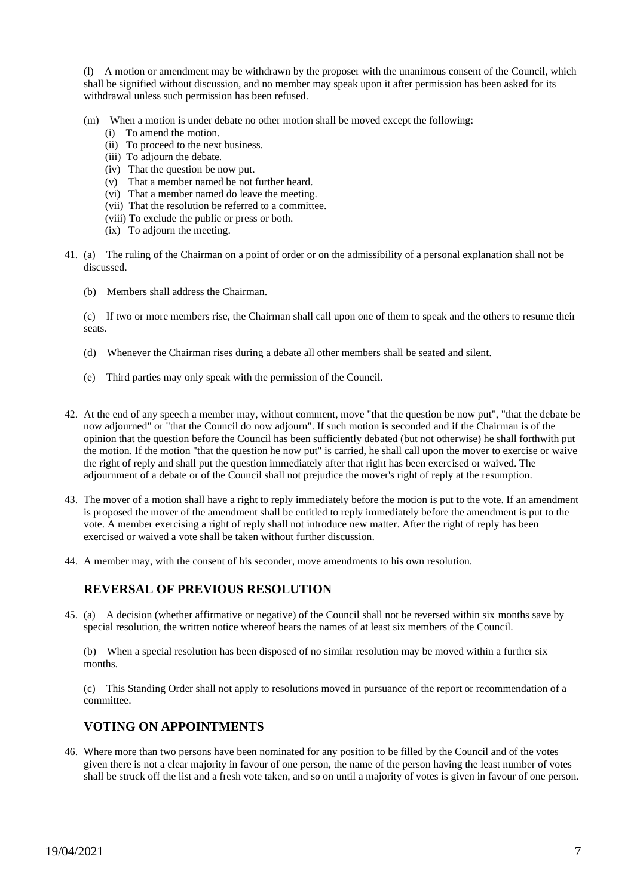(l) A motion or amendment may be withdrawn by the proposer with the unanimous consent of the Council, which shall be signified without discussion, and no member may speak upon it after permission has been asked for its withdrawal unless such permission has been refused.

- (m) When a motion is under debate no other motion shall be moved except the following:
	- (i) To amend the motion.
	- (ii) To proceed to the next business.
	- (iii) To adjourn the debate.
	- (iv) That the question be now put.
	- (v) That a member named be not further heard.
	- (vi) That a member named do leave the meeting.
	- (vii) That the resolution be referred to a committee.
	- (viii) To exclude the public or press or both.
	- (ix) To adjourn the meeting.
- 41. (a) The ruling of the Chairman on a point of order or on the admissibility of a personal explanation shall not be discussed.
	- (b) Members shall address the Chairman.

(c) If two or more members rise, the Chairman shall call upon one of them to speak and the others to resume their seats.

- (d) Whenever the Chairman rises during a debate all other members shall be seated and silent.
- (e) Third parties may only speak with the permission of the Council.
- 42. At the end of any speech a member may, without comment, move "that the question be now put", "that the debate be now adjourned" or "that the Council do now adjourn". If such motion is seconded and if the Chairman is of the opinion that the question before the Council has been sufficiently debated (but not otherwise) he shall forthwith put the motion. If the motion "that the question he now put" is carried, he shall call upon the mover to exercise or waive the right of reply and shall put the question immediately after that right has been exercised or waived. The adjournment of a debate or of the Council shall not prejudice the mover's right of reply at the resumption.
- 43. The mover of a motion shall have a right to reply immediately before the motion is put to the vote. If an amendment is proposed the mover of the amendment shall be entitled to reply immediately before the amendment is put to the vote. A member exercising a right of reply shall not introduce new matter. After the right of reply has been exercised or waived a vote shall be taken without further discussion.
- 44. A member may, with the consent of his seconder, move amendments to his own resolution.

# **REVERSAL OF PREVIOUS RESOLUTION**

45. (a) A decision (whether affirmative or negative) of the Council shall not be reversed within six months save by special resolution, the written notice whereof bears the names of at least six members of the Council.

(b) When a special resolution has been disposed of no similar resolution may be moved within a further six months.

(c) This Standing Order shall not apply to resolutions moved in pursuance of the report or recommendation of a committee.

#### **VOTING ON APPOINTMENTS**

46. Where more than two persons have been nominated for any position to be filled by the Council and of the votes given there is not a clear majority in favour of one person, the name of the person having the least number of votes shall be struck off the list and a fresh vote taken, and so on until a majority of votes is given in favour of one person.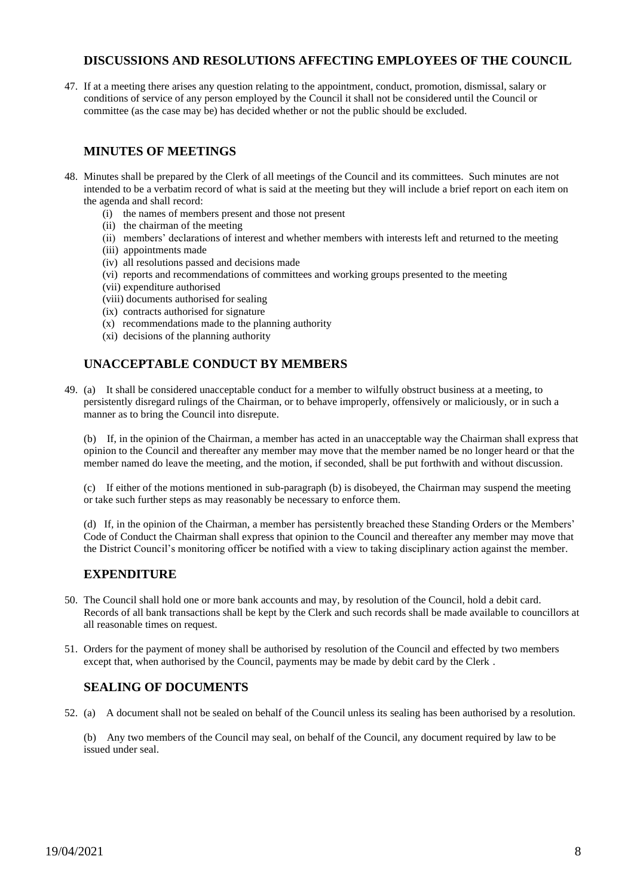## **DISCUSSIONS AND RESOLUTIONS AFFECTING EMPLOYEES OF THE COUNCIL**

47. If at a meeting there arises any question relating to the appointment, conduct, promotion, dismissal, salary or conditions of service of any person employed by the Council it shall not be considered until the Council or committee (as the case may be) has decided whether or not the public should be excluded.

# **MINUTES OF MEETINGS**

- 48. Minutes shall be prepared by the Clerk of all meetings of the Council and its committees. Such minutes are not intended to be a verbatim record of what is said at the meeting but they will include a brief report on each item on the agenda and shall record:
	- (i) the names of members present and those not present
	- (ii) the chairman of the meeting
	- (ii) members' declarations of interest and whether members with interests left and returned to the meeting
	- (iii) appointments made
	- (iv) all resolutions passed and decisions made
	- (vi) reports and recommendations of committees and working groups presented to the meeting
	- (vii) expenditure authorised
	- (viii) documents authorised for sealing
	- (ix) contracts authorised for signature
	- $(x)$  recommendations made to the planning authority
	- (xi) decisions of the planning authority

# **UNACCEPTABLE CONDUCT BY MEMBERS**

49. (a) It shall be considered unacceptable conduct for a member to wilfully obstruct business at a meeting, to persistently disregard rulings of the Chairman, or to behave improperly, offensively or maliciously, or in such a manner as to bring the Council into disrepute.

(b) If, in the opinion of the Chairman, a member has acted in an unacceptable way the Chairman shall express that opinion to the Council and thereafter any member may move that the member named be no longer heard or that the member named do leave the meeting, and the motion, if seconded, shall be put forthwith and without discussion.

(c) If either of the motions mentioned in sub-paragraph (b) is disobeyed, the Chairman may suspend the meeting or take such further steps as may reasonably be necessary to enforce them.

(d) If, in the opinion of the Chairman, a member has persistently breached these Standing Orders or the Members' Code of Conduct the Chairman shall express that opinion to the Council and thereafter any member may move that the District Council's monitoring officer be notified with a view to taking disciplinary action against the member.

# **EXPENDITURE**

- 50. The Council shall hold one or more bank accounts and may, by resolution of the Council, hold a debit card. Records of all bank transactions shall be kept by the Clerk and such records shall be made available to councillors at all reasonable times on request.
- 51. Orders for the payment of money shall be authorised by resolution of the Council and effected by two members except that, when authorised by the Council, payments may be made by debit card by the Clerk .

# **SEALING OF DOCUMENTS**

- 52. (a) A document shall not be sealed on behalf of the Council unless its sealing has been authorised by a resolution.
	- (b) Any two members of the Council may seal, on behalf of the Council, any document required by law to be issued under seal.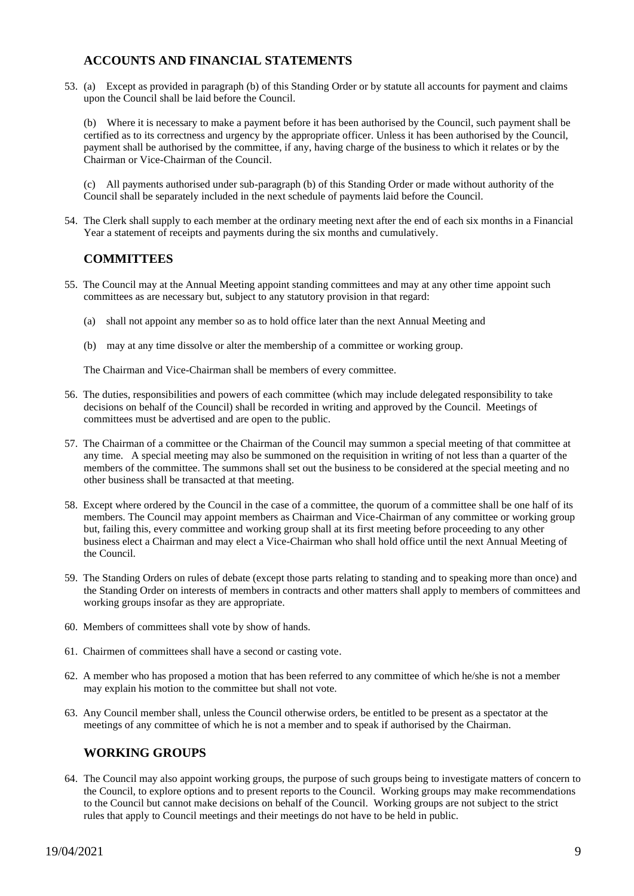## **ACCOUNTS AND FINANCIAL STATEMENTS**

53. (a) Except as provided in paragraph (b) of this Standing Order or by statute all accounts for payment and claims upon the Council shall be laid before the Council.

(b) Where it is necessary to make a payment before it has been authorised by the Council, such payment shall be certified as to its correctness and urgency by the appropriate officer. Unless it has been authorised by the Council, payment shall be authorised by the committee, if any, having charge of the business to which it relates or by the Chairman or Vice-Chairman of the Council.

(c) All payments authorised under sub-paragraph (b) of this Standing Order or made without authority of the Council shall be separately included in the next schedule of payments laid before the Council.

54. The Clerk shall supply to each member at the ordinary meeting next after the end of each six months in a Financial Year a statement of receipts and payments during the six months and cumulatively.

# **COMMITTEES**

- 55. The Council may at the Annual Meeting appoint standing committees and may at any other time appoint such committees as are necessary but, subject to any statutory provision in that regard:
	- (a) shall not appoint any member so as to hold office later than the next Annual Meeting and
	- (b) may at any time dissolve or alter the membership of a committee or working group.

The Chairman and Vice-Chairman shall be members of every committee.

- 56. The duties, responsibilities and powers of each committee (which may include delegated responsibility to take decisions on behalf of the Council) shall be recorded in writing and approved by the Council. Meetings of committees must be advertised and are open to the public.
- 57. The Chairman of a committee or the Chairman of the Council may summon a special meeting of that committee at any time. A special meeting may also be summoned on the requisition in writing of not less than a quarter of the members of the committee. The summons shall set out the business to be considered at the special meeting and no other business shall be transacted at that meeting.
- 58. Except where ordered by the Council in the case of a committee, the quorum of a committee shall be one half of its members. The Council may appoint members as Chairman and Vice-Chairman of any committee or working group but, failing this, every committee and working group shall at its first meeting before proceeding to any other business elect a Chairman and may elect a Vice-Chairman who shall hold office until the next Annual Meeting of the Council.
- 59. The Standing Orders on rules of debate (except those parts relating to standing and to speaking more than once) and the Standing Order on interests of members in contracts and other matters shall apply to members of committees and working groups insofar as they are appropriate.
- 60. Members of committees shall vote by show of hands.
- 61. Chairmen of committees shall have a second or casting vote.
- 62. A member who has proposed a motion that has been referred to any committee of which he/she is not a member may explain his motion to the committee but shall not vote.
- 63. Any Council member shall, unless the Council otherwise orders, be entitled to be present as a spectator at the meetings of any committee of which he is not a member and to speak if authorised by the Chairman.

## **WORKING GROUPS**

64. The Council may also appoint working groups, the purpose of such groups being to investigate matters of concern to the Council, to explore options and to present reports to the Council. Working groups may make recommendations to the Council but cannot make decisions on behalf of the Council. Working groups are not subject to the strict rules that apply to Council meetings and their meetings do not have to be held in public.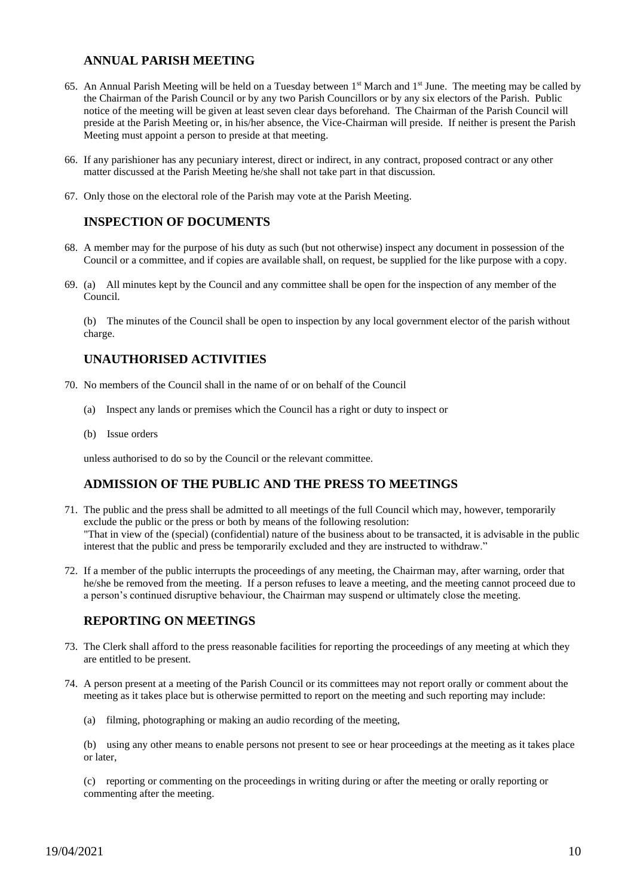## **ANNUAL PARISH MEETING**

- 65. An Annual Parish Meeting will be held on a Tuesday between  $1<sup>st</sup>$  March and  $1<sup>st</sup>$  June. The meeting may be called by the Chairman of the Parish Council or by any two Parish Councillors or by any six electors of the Parish. Public notice of the meeting will be given at least seven clear days beforehand. The Chairman of the Parish Council will preside at the Parish Meeting or, in his/her absence, the Vice-Chairman will preside. If neither is present the Parish Meeting must appoint a person to preside at that meeting.
- 66. If any parishioner has any pecuniary interest, direct or indirect, in any contract, proposed contract or any other matter discussed at the Parish Meeting he/she shall not take part in that discussion.
- 67. Only those on the electoral role of the Parish may vote at the Parish Meeting.

#### **INSPECTION OF DOCUMENTS**

- 68. A member may for the purpose of his duty as such (but not otherwise) inspect any document in possession of the Council or a committee, and if copies are available shall, on request, be supplied for the like purpose with a copy.
- 69. (a) All minutes kept by the Council and any committee shall be open for the inspection of any member of the Council.

(b) The minutes of the Council shall be open to inspection by any local government elector of the parish without charge.

#### **UNAUTHORISED ACTIVITIES**

- 70. No members of the Council shall in the name of or on behalf of the Council
	- (a) Inspect any lands or premises which the Council has a right or duty to inspect or
	- (b) Issue orders

unless authorised to do so by the Council or the relevant committee.

## **ADMISSION OF THE PUBLIC AND THE PRESS TO MEETINGS**

- 71. The public and the press shall be admitted to all meetings of the full Council which may, however, temporarily exclude the public or the press or both by means of the following resolution: "That in view of the (special) (confidential) nature of the business about to be transacted, it is advisable in the public interest that the public and press be temporarily excluded and they are instructed to withdraw."
- 72. If a member of the public interrupts the proceedings of any meeting, the Chairman may, after warning, order that he/she be removed from the meeting. If a person refuses to leave a meeting, and the meeting cannot proceed due to a person's continued disruptive behaviour, the Chairman may suspend or ultimately close the meeting.

#### **REPORTING ON MEETINGS**

- 73. The Clerk shall afford to the press reasonable facilities for reporting the proceedings of any meeting at which they are entitled to be present.
- 74. A person present at a meeting of the Parish Council or its committees may not report orally or comment about the meeting as it takes place but is otherwise permitted to report on the meeting and such reporting may include:
	- (a) filming, photographing or making an audio recording of the meeting,

(b) using any other means to enable persons not present to see or hear proceedings at the meeting as it takes place or later,

(c) reporting or commenting on the proceedings in writing during or after the meeting or orally reporting or commenting after the meeting.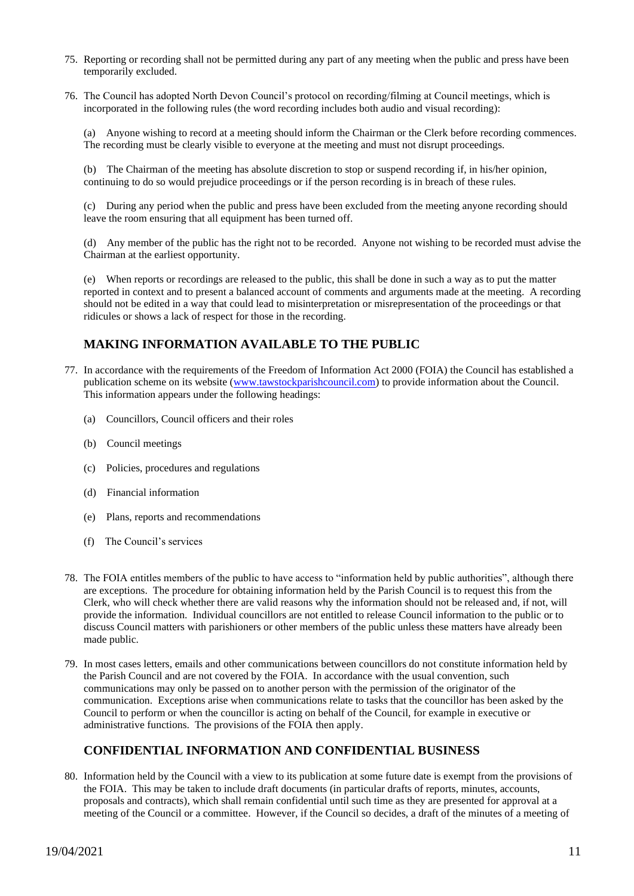- 75. Reporting or recording shall not be permitted during any part of any meeting when the public and press have been temporarily excluded.
- 76. The Council has adopted North Devon Council's protocol on recording/filming at Council meetings, which is incorporated in the following rules (the word recording includes both audio and visual recording):

(a) Anyone wishing to record at a meeting should inform the Chairman or the Clerk before recording commences. The recording must be clearly visible to everyone at the meeting and must not disrupt proceedings.

(b) The Chairman of the meeting has absolute discretion to stop or suspend recording if, in his/her opinion, continuing to do so would prejudice proceedings or if the person recording is in breach of these rules.

(c) During any period when the public and press have been excluded from the meeting anyone recording should leave the room ensuring that all equipment has been turned off.

(d) Any member of the public has the right not to be recorded. Anyone not wishing to be recorded must advise the Chairman at the earliest opportunity.

(e) When reports or recordings are released to the public, this shall be done in such a way as to put the matter reported in context and to present a balanced account of comments and arguments made at the meeting. A recording should not be edited in a way that could lead to misinterpretation or misrepresentation of the proceedings or that ridicules or shows a lack of respect for those in the recording.

# **MAKING INFORMATION AVAILABLE TO THE PUBLIC**

- 77. In accordance with the requirements of the Freedom of Information Act 2000 (FOIA) the Council has established a publication scheme on its website [\(www.tawstockparishcouncil.com\)](http://www.tawstockparishcouncil.com/) to provide information about the Council. This information appears under the following headings:
	- (a) Councillors, Council officers and their roles
	- (b) Council meetings
	- (c) Policies, procedures and regulations
	- (d) Financial information
	- (e) Plans, reports and recommendations
	- (f) The Council's services
- 78. The FOIA entitles members of the public to have access to "information held by public authorities", although there are exceptions. The procedure for obtaining information held by the Parish Council is to request this from the Clerk, who will check whether there are valid reasons why the information should not be released and, if not, will provide the information. Individual councillors are not entitled to release Council information to the public or to discuss Council matters with parishioners or other members of the public unless these matters have already been made public.
- 79. In most cases letters, emails and other communications between councillors do not constitute information held by the Parish Council and are not covered by the FOIA. In accordance with the usual convention, such communications may only be passed on to another person with the permission of the originator of the communication. Exceptions arise when communications relate to tasks that the councillor has been asked by the Council to perform or when the councillor is acting on behalf of the Council, for example in executive or administrative functions. The provisions of the FOIA then apply.

## **CONFIDENTIAL INFORMATION AND CONFIDENTIAL BUSINESS**

80. Information held by the Council with a view to its publication at some future date is exempt from the provisions of the FOIA. This may be taken to include draft documents (in particular drafts of reports, minutes, accounts, proposals and contracts), which shall remain confidential until such time as they are presented for approval at a meeting of the Council or a committee. However, if the Council so decides, a draft of the minutes of a meeting of